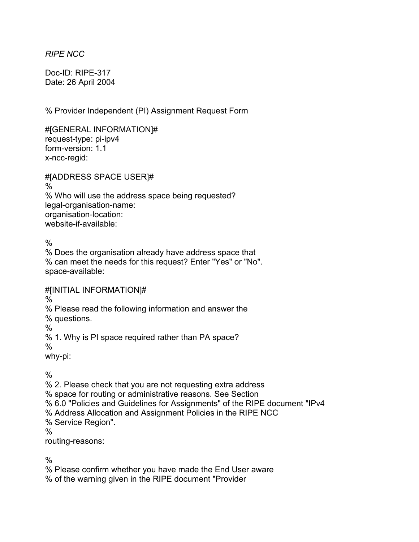*RIPE NCC* 

Doc-ID: RIPE-317 Date: 26 April 2004

% Provider Independent (PI) Assignment Request Form

#[GENERAL INFORMATION]# request-type: pi-ipv4 form-version: 1.1 x-ncc-regid:

#[ADDRESS SPACE USER]#

 $\frac{0}{6}$ 

% Who will use the address space being requested? legal-organisation-name: organisation-location: website-if-available:

 $\frac{0}{0}$ 

% Does the organisation already have address space that % can meet the needs for this request? Enter "Yes" or "No". space-available:

#[INITIAL INFORMATION]#

%

% Please read the following information and answer the

% questions.

 $\frac{0}{0}$ 

% 1. Why is PI space required rather than PA space?

%

why-pi:

 $\frac{0}{0}$ 

% 2. Please check that you are not requesting extra address

% space for routing or administrative reasons. See Section

% 6.0 "Policies and Guidelines for Assignments" of the RIPE document "IPv4

% Address Allocation and Assignment Policies in the RIPE NCC

% Service Region".

%

routing-reasons:

%

% Please confirm whether you have made the End User aware

% of the warning given in the RIPE document "Provider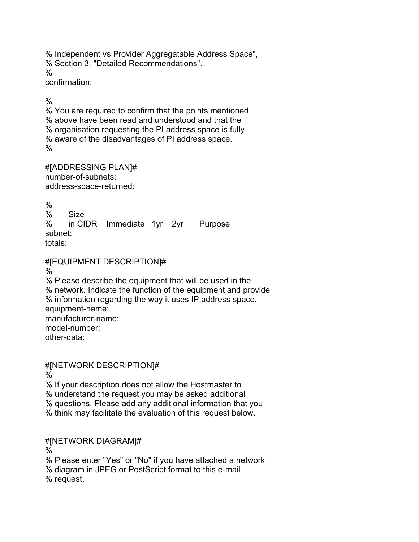% Independent vs Provider Aggregatable Address Space", % Section 3, "Detailed Recommendations". % confirmation:

 $\frac{0}{0}$ 

% You are required to confirm that the points mentioned % above have been read and understood and that the % organisation requesting the PI address space is fully % aware of the disadvantages of PI address space.  $\frac{0}{0}$ 

#[ADDRESSING PLAN]# number-of-subnets: address-space-returned:

 $\frac{0}{0}$ % Size % in CIDR Immediate 1yr 2yr Purpose subnet: totals:

## #[EQUIPMENT DESCRIPTION]#

%

% Please describe the equipment that will be used in the % network. Indicate the function of the equipment and provide % information regarding the way it uses IP address space. equipment-name: manufacturer-name: model-number: other-data:

#[NETWORK DESCRIPTION]#

%

% If your description does not allow the Hostmaster to

% understand the request you may be asked additional

% questions. Please add any additional information that you

% think may facilitate the evaluation of this request below.

## #[NETWORK DIAGRAM]#

%

% Please enter "Yes" or "No" if you have attached a network % diagram in JPEG or PostScript format to this e-mail % request.